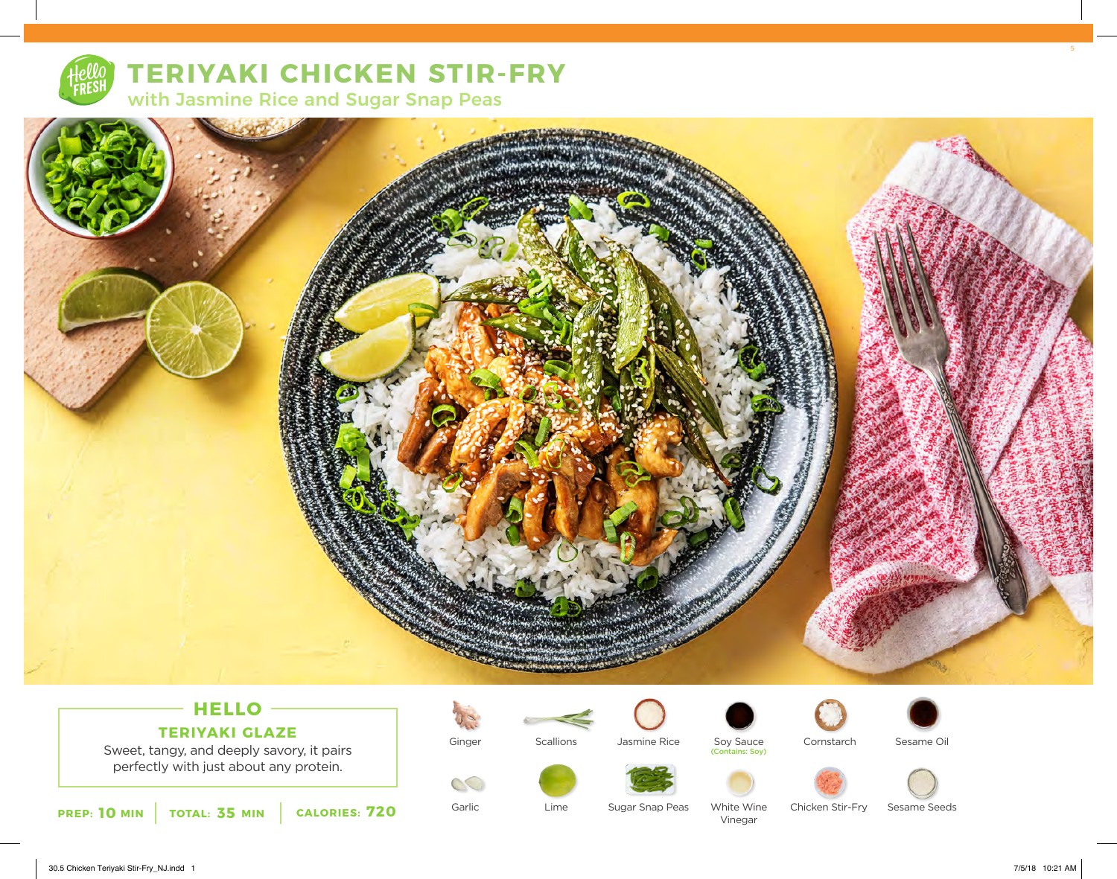

# **TERIYAKI CHICKEN STIR-FRY**

with Jasmine Rice and Sugar Snap Peas



### **HELLO TERIYAKI GLAZE**

Sweet, tangy, and deeply savory, it pairs perfectly with just about any protein.





Lime

Garlic







White Wine Vinegar









Sesame Seeds